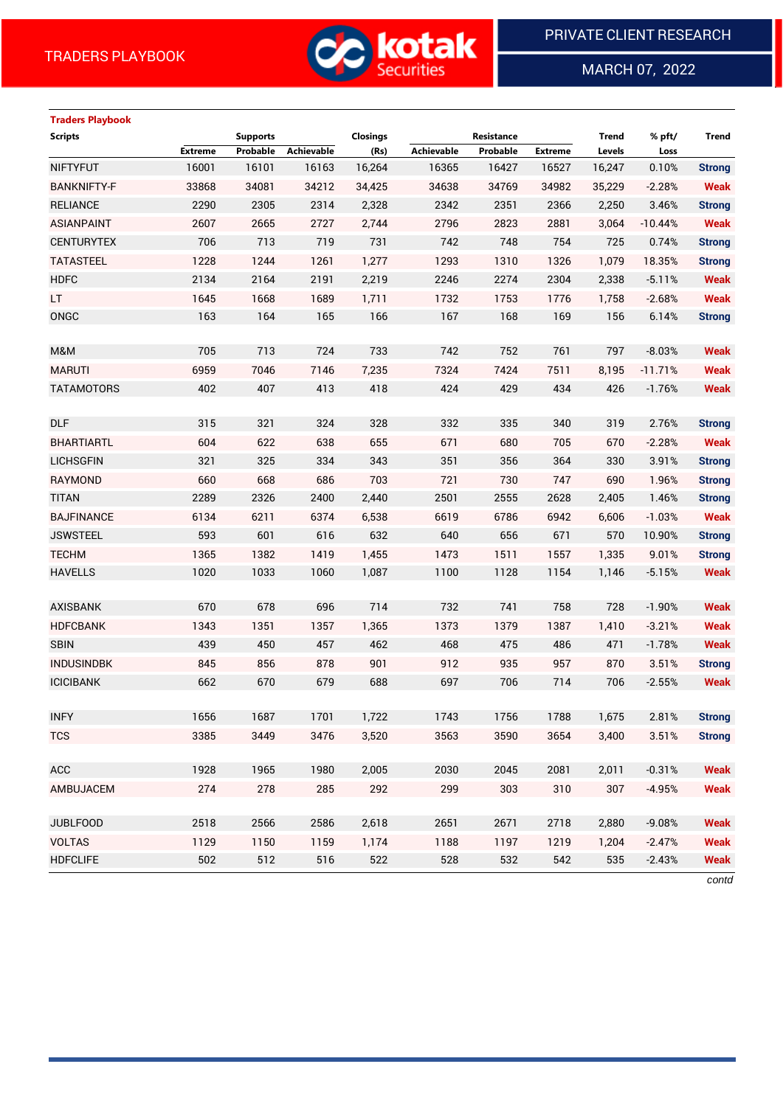

MARCH 07, 2022

 $\overline{a}$ 

# **Traders Playbook**

| <b>Extreme</b><br>Probable<br>Achievable<br>(Rs)<br>Achievable<br>Probable<br><b>Extreme</b><br>Levels<br>Loss<br>16001<br>16,264<br>0.10%<br><b>NIFTYFUT</b><br>16101<br>16163<br>16365<br>16427<br>16527<br>16,247<br><b>Strong</b><br><b>BANKNIFTY-F</b><br>33868<br>34081<br>34212<br>34638<br>34769<br><b>Weak</b><br>34,425<br>34982<br>35,229<br>$-2.28%$<br><b>RELIANCE</b><br>2290<br>2305<br>2314<br>2,328<br>2342<br>2351<br>2366<br>2,250<br>3.46%<br><b>ASIANPAINT</b><br>2607<br>2665<br>2727<br>2,744<br>2796<br>2823<br>2881<br>3,064<br>$-10.44%$<br><b>CENTURYTEX</b><br>706<br>713<br>719<br>731<br>742<br>748<br>754<br>725<br>0.74%<br>1228<br>1244<br>1261<br>1,277<br>1293<br>1310<br><b>TATASTEEL</b><br>1326<br>1,079<br>18.35%<br><b>HDFC</b><br>2134<br>2164<br>2191<br>2,219<br>2246<br>2274<br>2304<br>2,338<br>$-5.11%$<br>LT.<br>1645<br>1668<br>1689<br>1732<br>1753<br>1,711<br>1776<br>1,758<br>$-2.68%$<br>6.14% | <b>Scripts</b> |     | <b>Supports</b> |     | <b>Closings</b> |     | Resistance |     | <b>Trend</b> | % pft/ | Trend         |
|-----------------------------------------------------------------------------------------------------------------------------------------------------------------------------------------------------------------------------------------------------------------------------------------------------------------------------------------------------------------------------------------------------------------------------------------------------------------------------------------------------------------------------------------------------------------------------------------------------------------------------------------------------------------------------------------------------------------------------------------------------------------------------------------------------------------------------------------------------------------------------------------------------------------------------------------------------|----------------|-----|-----------------|-----|-----------------|-----|------------|-----|--------------|--------|---------------|
|                                                                                                                                                                                                                                                                                                                                                                                                                                                                                                                                                                                                                                                                                                                                                                                                                                                                                                                                                     |                |     |                 |     |                 |     |            |     |              |        |               |
|                                                                                                                                                                                                                                                                                                                                                                                                                                                                                                                                                                                                                                                                                                                                                                                                                                                                                                                                                     |                |     |                 |     |                 |     |            |     |              |        |               |
|                                                                                                                                                                                                                                                                                                                                                                                                                                                                                                                                                                                                                                                                                                                                                                                                                                                                                                                                                     |                |     |                 |     |                 |     |            |     |              |        |               |
|                                                                                                                                                                                                                                                                                                                                                                                                                                                                                                                                                                                                                                                                                                                                                                                                                                                                                                                                                     |                |     |                 |     |                 |     |            |     |              |        | <b>Strong</b> |
|                                                                                                                                                                                                                                                                                                                                                                                                                                                                                                                                                                                                                                                                                                                                                                                                                                                                                                                                                     |                |     |                 |     |                 |     |            |     |              |        | <b>Weak</b>   |
|                                                                                                                                                                                                                                                                                                                                                                                                                                                                                                                                                                                                                                                                                                                                                                                                                                                                                                                                                     |                |     |                 |     |                 |     |            |     |              |        | <b>Strong</b> |
|                                                                                                                                                                                                                                                                                                                                                                                                                                                                                                                                                                                                                                                                                                                                                                                                                                                                                                                                                     |                |     |                 |     |                 |     |            |     |              |        | <b>Strong</b> |
|                                                                                                                                                                                                                                                                                                                                                                                                                                                                                                                                                                                                                                                                                                                                                                                                                                                                                                                                                     |                |     |                 |     |                 |     |            |     |              |        | <b>Weak</b>   |
|                                                                                                                                                                                                                                                                                                                                                                                                                                                                                                                                                                                                                                                                                                                                                                                                                                                                                                                                                     |                |     |                 |     |                 |     |            |     |              |        | <b>Weak</b>   |
|                                                                                                                                                                                                                                                                                                                                                                                                                                                                                                                                                                                                                                                                                                                                                                                                                                                                                                                                                     | ONGC           | 163 | 164             | 165 | 166             | 167 | 168        | 169 | 156          |        | <b>Strong</b> |
|                                                                                                                                                                                                                                                                                                                                                                                                                                                                                                                                                                                                                                                                                                                                                                                                                                                                                                                                                     |                |     |                 |     |                 |     |            |     |              |        |               |
| 705<br>713<br>724<br>733<br>742<br>752<br>761<br>797<br>$-8.03%$<br>M&M                                                                                                                                                                                                                                                                                                                                                                                                                                                                                                                                                                                                                                                                                                                                                                                                                                                                             |                |     |                 |     |                 |     |            |     |              |        | <b>Weak</b>   |
| <b>MARUTI</b><br>6959<br>7046<br>7146<br>7324<br>7424<br>7,235<br>7511<br>8,195<br>$-11.71%$                                                                                                                                                                                                                                                                                                                                                                                                                                                                                                                                                                                                                                                                                                                                                                                                                                                        |                |     |                 |     |                 |     |            |     |              |        | <b>Weak</b>   |
| 402<br>407<br>413<br>424<br>429<br><b>TATAMOTORS</b><br>418<br>434<br>426<br>$-1.76%$                                                                                                                                                                                                                                                                                                                                                                                                                                                                                                                                                                                                                                                                                                                                                                                                                                                               |                |     |                 |     |                 |     |            |     |              |        | <b>Weak</b>   |
|                                                                                                                                                                                                                                                                                                                                                                                                                                                                                                                                                                                                                                                                                                                                                                                                                                                                                                                                                     |                |     |                 |     |                 |     |            |     |              |        |               |
| <b>DLF</b><br>315<br>321<br>324<br>328<br>332<br>335<br>319<br>340<br>2.76%                                                                                                                                                                                                                                                                                                                                                                                                                                                                                                                                                                                                                                                                                                                                                                                                                                                                         |                |     |                 |     |                 |     |            |     |              |        | <b>Strong</b> |
| 604<br>622<br>638<br>680<br><b>BHARTIARTL</b><br>655<br>671<br>705<br>670<br>$-2.28%$                                                                                                                                                                                                                                                                                                                                                                                                                                                                                                                                                                                                                                                                                                                                                                                                                                                               |                |     |                 |     |                 |     |            |     |              |        | <b>Weak</b>   |
| 351<br><b>LICHSGFIN</b><br>321<br>325<br>334<br>343<br>356<br>330<br>3.91%<br>364                                                                                                                                                                                                                                                                                                                                                                                                                                                                                                                                                                                                                                                                                                                                                                                                                                                                   |                |     |                 |     |                 |     |            |     |              |        | <b>Strong</b> |
| <b>RAYMOND</b><br>660<br>668<br>686<br>703<br>721<br>730<br>747<br>690<br>1.96%                                                                                                                                                                                                                                                                                                                                                                                                                                                                                                                                                                                                                                                                                                                                                                                                                                                                     |                |     |                 |     |                 |     |            |     |              |        | <b>Strong</b> |
| <b>TITAN</b><br>2289<br>2326<br>2400<br>2501<br>2555<br>2628<br>2,440<br>2,405<br>1.46%                                                                                                                                                                                                                                                                                                                                                                                                                                                                                                                                                                                                                                                                                                                                                                                                                                                             |                |     |                 |     |                 |     |            |     |              |        | <b>Strong</b> |
| 6211<br>6,538<br><b>BAJFINANCE</b><br>6134<br>6374<br>6619<br>6786<br>6942<br>6,606<br>$-1.03%$                                                                                                                                                                                                                                                                                                                                                                                                                                                                                                                                                                                                                                                                                                                                                                                                                                                     |                |     |                 |     |                 |     |            |     |              |        | <b>Weak</b>   |
| 593<br>601<br><b>JSWSTEEL</b><br>616<br>632<br>640<br>656<br>671<br>570<br>10.90%                                                                                                                                                                                                                                                                                                                                                                                                                                                                                                                                                                                                                                                                                                                                                                                                                                                                   |                |     |                 |     |                 |     |            |     |              |        | <b>Strong</b> |
| <b>TECHM</b><br>1365<br>1382<br>1473<br>1,335<br>1419<br>1,455<br>1511<br>1557<br>9.01%                                                                                                                                                                                                                                                                                                                                                                                                                                                                                                                                                                                                                                                                                                                                                                                                                                                             |                |     |                 |     |                 |     |            |     |              |        | <b>Strong</b> |
| <b>HAVELLS</b><br>1020<br>1033<br>1060<br>1100<br>1128<br>1154<br>$-5.15%$<br>1,087<br>1,146                                                                                                                                                                                                                                                                                                                                                                                                                                                                                                                                                                                                                                                                                                                                                                                                                                                        |                |     |                 |     |                 |     |            |     |              |        | <b>Weak</b>   |
|                                                                                                                                                                                                                                                                                                                                                                                                                                                                                                                                                                                                                                                                                                                                                                                                                                                                                                                                                     |                |     |                 |     |                 |     |            |     |              |        |               |
| 670<br>678<br>732<br>696<br>714<br>741<br>758<br>728<br><b>AXISBANK</b><br>$-1.90%$                                                                                                                                                                                                                                                                                                                                                                                                                                                                                                                                                                                                                                                                                                                                                                                                                                                                 |                |     |                 |     |                 |     |            |     |              |        | <b>Weak</b>   |
| 1351<br>1357<br>1373<br>1379<br><b>HDFCBANK</b><br>1343<br>1,365<br>1387<br>1,410<br>$-3.21%$                                                                                                                                                                                                                                                                                                                                                                                                                                                                                                                                                                                                                                                                                                                                                                                                                                                       |                |     |                 |     |                 |     |            |     |              |        | <b>Weak</b>   |
| <b>SBIN</b><br>439<br>450<br>457<br>468<br>475<br>462<br>486<br>471<br>$-1.78%$                                                                                                                                                                                                                                                                                                                                                                                                                                                                                                                                                                                                                                                                                                                                                                                                                                                                     |                |     |                 |     |                 |     |            |     |              |        | <b>Weak</b>   |
| 878<br><b>INDUSINDBK</b><br>845<br>856<br>901<br>912<br>935<br>957<br>870<br>3.51%                                                                                                                                                                                                                                                                                                                                                                                                                                                                                                                                                                                                                                                                                                                                                                                                                                                                  |                |     |                 |     |                 |     |            |     |              |        | <b>Strong</b> |
| <b>ICICIBANK</b><br>662<br>670<br>679<br>688<br>697<br>706<br>714<br>706<br>$-2.55%$                                                                                                                                                                                                                                                                                                                                                                                                                                                                                                                                                                                                                                                                                                                                                                                                                                                                |                |     |                 |     |                 |     |            |     |              |        | <b>Weak</b>   |
|                                                                                                                                                                                                                                                                                                                                                                                                                                                                                                                                                                                                                                                                                                                                                                                                                                                                                                                                                     |                |     |                 |     |                 |     |            |     |              |        |               |
| <b>INFY</b><br>1656<br>1687<br>1701<br>1,722<br>1743<br>1756<br>1788<br>1,675<br>2.81%                                                                                                                                                                                                                                                                                                                                                                                                                                                                                                                                                                                                                                                                                                                                                                                                                                                              |                |     |                 |     |                 |     |            |     |              |        | <b>Strong</b> |
| <b>TCS</b><br>3385<br>3449<br>3476<br>3,520<br>3563<br>3590<br>3654<br>3,400<br>3.51%                                                                                                                                                                                                                                                                                                                                                                                                                                                                                                                                                                                                                                                                                                                                                                                                                                                               |                |     |                 |     |                 |     |            |     |              |        | <b>Strong</b> |
|                                                                                                                                                                                                                                                                                                                                                                                                                                                                                                                                                                                                                                                                                                                                                                                                                                                                                                                                                     |                |     |                 |     |                 |     |            |     |              |        |               |
| <b>ACC</b><br>1928<br>1965<br>1980<br>2,005<br>2030<br>2045<br>2081<br>2,011<br>$-0.31%$                                                                                                                                                                                                                                                                                                                                                                                                                                                                                                                                                                                                                                                                                                                                                                                                                                                            |                |     |                 |     |                 |     |            |     |              |        | <b>Weak</b>   |
| 285<br>AMBUJACEM<br>274<br>278<br>292<br>299<br>303<br>310<br>307<br>$-4.95%$                                                                                                                                                                                                                                                                                                                                                                                                                                                                                                                                                                                                                                                                                                                                                                                                                                                                       |                |     |                 |     |                 |     |            |     |              |        | <b>Weak</b>   |
|                                                                                                                                                                                                                                                                                                                                                                                                                                                                                                                                                                                                                                                                                                                                                                                                                                                                                                                                                     |                |     |                 |     |                 |     |            |     |              |        |               |
| <b>JUBLFOOD</b><br>2518<br>2566<br>2586<br>2,618<br>2651<br>2671<br>2718<br>2,880<br>$-9.08%$                                                                                                                                                                                                                                                                                                                                                                                                                                                                                                                                                                                                                                                                                                                                                                                                                                                       |                |     |                 |     |                 |     |            |     |              |        | <b>Weak</b>   |
| <b>VOLTAS</b><br>1129<br>1150<br>1159<br>1,174<br>1188<br>1197<br>1219<br>1,204<br>$-2.47%$                                                                                                                                                                                                                                                                                                                                                                                                                                                                                                                                                                                                                                                                                                                                                                                                                                                         |                |     |                 |     |                 |     |            |     |              |        | <b>Weak</b>   |
| <b>HDFCLIFE</b><br>502<br>512<br>516<br>522<br>528<br>532<br>542<br>535<br>$-2.43%$                                                                                                                                                                                                                                                                                                                                                                                                                                                                                                                                                                                                                                                                                                                                                                                                                                                                 |                |     |                 |     |                 |     |            |     |              |        | <b>Weak</b>   |

*contd*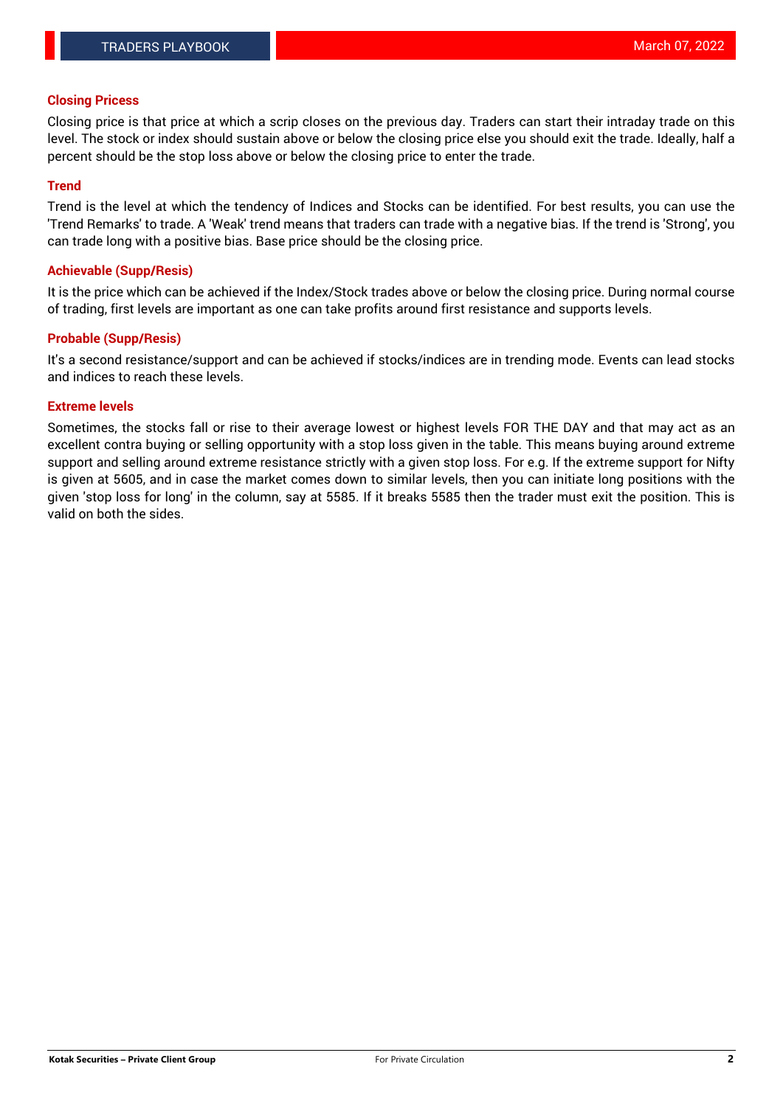## **Closing Pricess**

Closing price is that price at which a scrip closes on the previous day. Traders can start their intraday trade on this level. The stock or index should sustain above or below the closing price else you should exit the trade. Ideally, half a percent should be the stop loss above or below the closing price to enter the trade.

## **Trend**

Trend is the level at which the tendency of Indices and Stocks can be identified. For best results, you can use the 'Trend Remarks' to trade. A 'Weak' trend means that traders can trade with a negative bias. If the trend is 'Strong', you can trade long with a positive bias. Base price should be the closing price.

#### **Achievable (Supp/Resis)**

It is the price which can be achieved if the Index/Stock trades above or below the closing price. During normal course of trading, first levels are important as one can take profits around first resistance and supports levels.

## **Probable (Supp/Resis)**

It's a second resistance/support and can be achieved if stocks/indices are in trending mode. Events can lead stocks and indices to reach these levels.

## **Extreme levels**

Sometimes, the stocks fall or rise to their average lowest or highest levels FOR THE DAY and that may act as an excellent contra buying or selling opportunity with a stop loss given in the table. This means buying around extreme support and selling around extreme resistance strictly with a given stop loss. For e.g. If the extreme support for Nifty is given at 5605, and in case the market comes down to similar levels, then you can initiate long positions with the given 'stop loss for long' in the column, say at 5585. If it breaks 5585 then the trader must exit the position. This is valid on both the sides.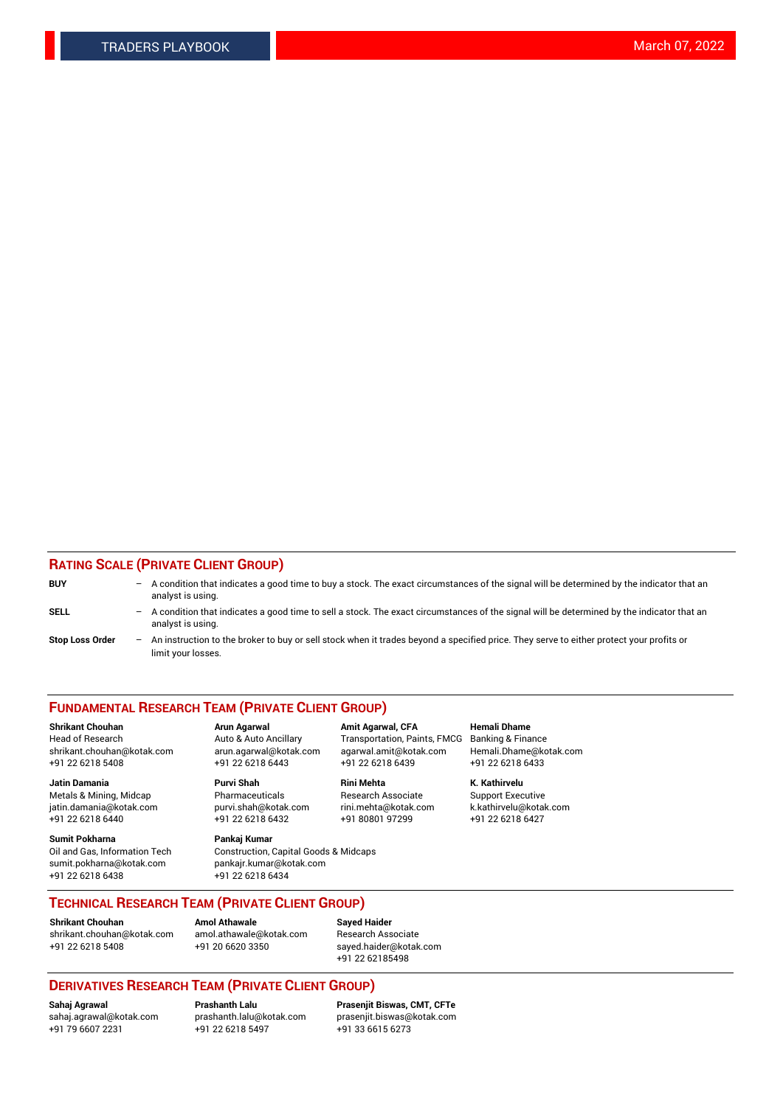## **RATING SCALE (PRIVATE CLIENT GROUP)**

| <b>BUY</b>             | -   | A condition that indicates a good time to buy a stock. The exact circumstances of the signal will be determined by the indicator that an<br>analyst is using.  |
|------------------------|-----|----------------------------------------------------------------------------------------------------------------------------------------------------------------|
| <b>SELL</b>            | -   | A condition that indicates a good time to sell a stock. The exact circumstances of the signal will be determined by the indicator that an<br>analyst is using. |
| <b>Stop Loss Order</b> | $-$ | An instruction to the broker to buy or sell stock when it trades beyond a specified price. They serve to either protect your profits or<br>limit your losses.  |

#### **FUNDAMENTAL RESEARCH TEAM (PRIVATE CLIENT GROUP)**

**Shrikant Chouhan Arun Agarwal Amit Agarwal, CFA Hemali Dhame** Head of Research Auto & Auto Ancillary Transportation, Paints, FMCG Banking & Finance shrikant.chouhan@kotak.com arun.agarwal@kotak.com agarwal.amit@kotak.com Hemali.Dhame@kotak.com

**Jatin Damania Purvi Shah Rini Mehta K. Kathirvelu** Metals & Mining, Midcap **Pharmaceuticals** Research Associate Support Executive jatin.damania@kotak.com [purvi.shah@kotak.com](mailto:purvi.shah@kotak.com) rini.mehta@kotak.com [k.kathirvelu@kotak.com](mailto:k.kathirvelu@kotak.com)  $+91$  22 6218 6440  $+91$  22 6218 6432

**Sumit Pokharna Pankaj Kumar** sumit.pokharna@kotak.com pankajr.kumar@kotak.com +91 22 6218 6438 +91 22 6218 6434

Oil and Gas, Information Tech Construction, Capital Goods & Midcaps

+91 22 6218 5408 +91 22 6218 6443 +91 22 6218 6439 +91 22 6218 6433

**TECHNICAL RESEARCH TEAM (PRIVATE CLIENT GROUP)**

[shrikant.chouhan@kotak.com](mailto:shrikant.chouhan@kotak.com) [amol.athawale@kotak.com](mailto:amol.athawale@kotak.com) Research Associate +91 22 6218 5408 +91 20 6620 3350 [sayed.haider@kotak.com](mailto:sayed.haider@kotak.com)

**Shrikant Chouhan Amol Athawale Sayed Haider**

+91 22 62185498

## **DERIVATIVES RESEARCH TEAM (PRIVATE CLIENT GROUP)**

 $+91$  22 6218 5497

**Sahaj Agrawal Prashanth Lalu Prasenjit Biswas, CMT, CFTe** [sahaj.agrawal@kotak.com](mailto:sahaj.agrawal@kotak.com) [prashanth.lalu@kotak.com](mailto:prashanth.lalu@kotak.com) [prasenjit.biswas@kotak.com](mailto:prasenjit.biswas@kotak.com)